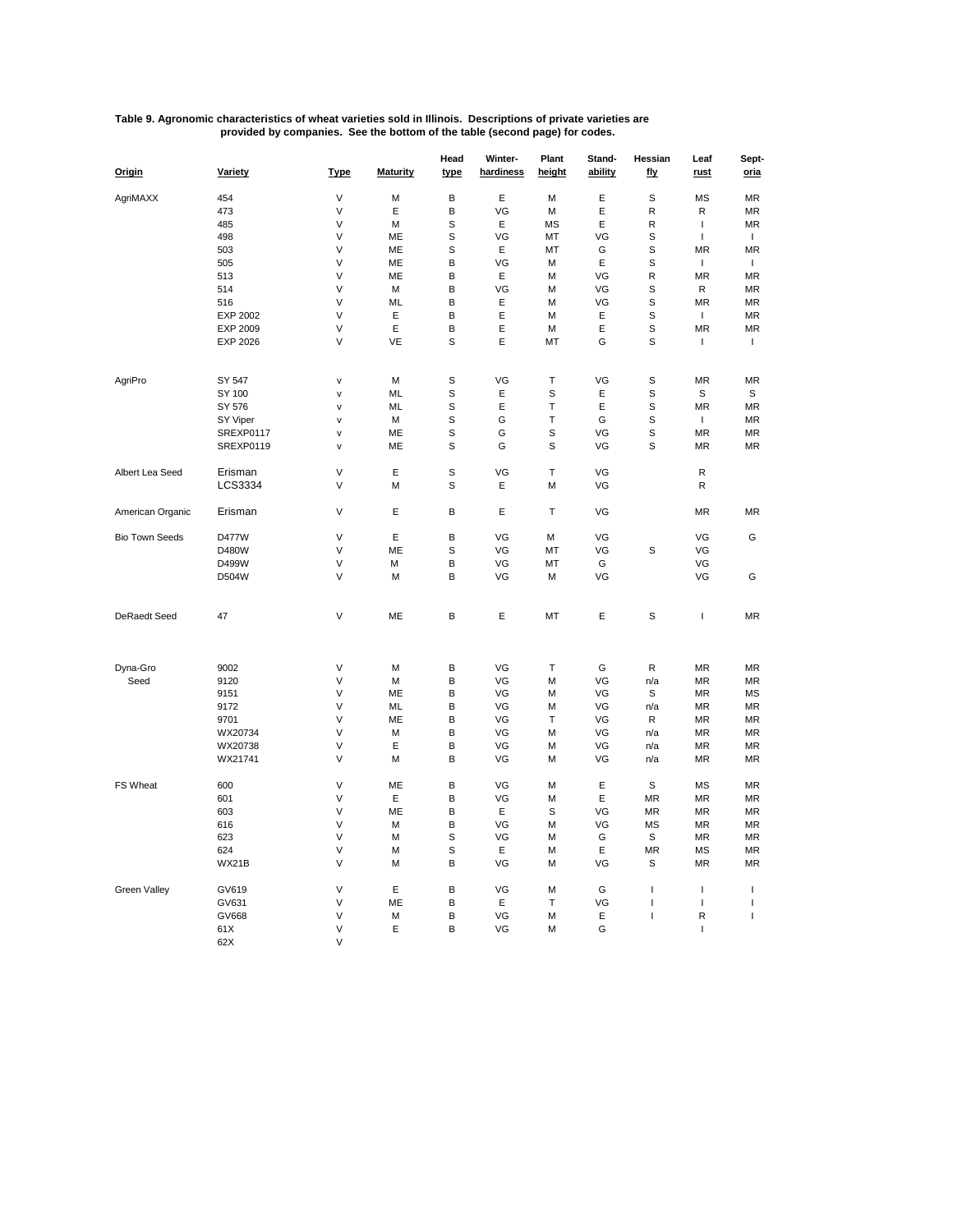| Table 9. Agronomic characteristics of wheat varieties sold in Illinois. Descriptions of private varieties are |                                                                             |
|---------------------------------------------------------------------------------------------------------------|-----------------------------------------------------------------------------|
|                                                                                                               | provided by companies. See the bottom of the table (second page) for codes. |

| Origin                | Variety   | <b>Type</b> | <b>Maturity</b> | Head<br>type | Winter-<br>hardiness | Plant<br>height | Stand-<br>ability | Hessian<br>fly | Leaf<br>rust   | Sept-<br>oria |
|-----------------------|-----------|-------------|-----------------|--------------|----------------------|-----------------|-------------------|----------------|----------------|---------------|
| AgriMAXX              | 454       | V           | M               | В            | Ε                    | М               | Ε                 | S              | <b>MS</b>      | <b>MR</b>     |
|                       | 473       | V           | Ε               | В            | VG                   | M               | Ε                 | $\mathsf{R}$   | R              | <b>MR</b>     |
|                       | 485       | V           | M               | S            | Е                    | <b>MS</b>       | Ε                 | $\mathsf{R}$   | $\mathbf{I}$   | <b>MR</b>     |
|                       | 498       | V           | ME              | S            | VG                   | MT              | VG                | S              | $\mathbf{I}$   | $\mathbf{I}$  |
|                       | 503       | V           | ME              | S            | Ε                    | MT              | G                 | S              | MR             | <b>MR</b>     |
|                       | 505       | V           | ME              | B            | VG                   | М               | E                 | S              | $\overline{1}$ | т.            |
|                       | 513       | V           | MЕ              | B            | E                    | М               | VG                | R              | <b>MR</b>      | <b>MR</b>     |
|                       | 514       | V           | M               | В            | VG                   | М               | VG                | S              | $\mathsf{R}$   | <b>MR</b>     |
|                       | 516       | V           | ML              | В            | E                    | М               | VG                | S              | <b>MR</b>      | <b>MR</b>     |
|                       | EXP 2002  | V           | Ε               | В            | Ε                    | М               | Ε                 | S              | $\mathbf{I}$   | MR            |
|                       | EXP 2009  | V           | Ε               | В            | Ε                    | М               | Ε                 | S              | <b>MR</b>      | <b>MR</b>     |
|                       | EXP 2026  | V           | VE              | S            | Ε                    | MT              | G                 | S              | J.             | $\mathbf{I}$  |
|                       |           |             |                 |              |                      |                 |                   |                |                |               |
| AgriPro               | SY 547    | V           | M               | S            | VG                   | T               | VG                | S              | <b>MR</b>      | <b>MR</b>     |
|                       | SY 100    | V           | ML              | S            | E                    | S               | Ε                 | S              | S              | S             |
|                       | SY 576    | v           | ML              | S            | E                    | T               | Ε                 | S              | <b>MR</b>      | MR            |
|                       | SY Viper  | V           | M               | S            | G                    | $\top$          | G                 | S              | $\mathbf{I}$   | MR            |
|                       | SREXP0117 | V           | ME              | S            | G                    | S               | VG                | S              | ΜR             | ΜR            |
|                       | SREXP0119 | V           | ME              | $\mathbb S$  | G                    | S               | VG                | S              | MR             | <b>MR</b>     |
| Albert Lea Seed       | Erisman   | V           | Ε               | S            | VG                   | Т               | VG                |                | R              |               |
|                       | LCS3334   | V           | M               | S            | Ε                    | М               | VG                |                | R              |               |
| American Organic      | Erisman   | V           | Ε               | В            | Ε                    | т               | VG                |                | MR             | <b>MR</b>     |
| <b>Bio Town Seeds</b> | D477W     | V           | E               | В            | VG                   | М               | VG                |                | VG             | G             |
|                       | D480W     | V           | ME              | S            | VG                   | MT              | VG                | S              | VG             |               |
|                       | D499W     | V           | M               | В            | VG                   | MT              | G                 |                | VG             |               |
|                       | D504W     | V           | M               | B            | VG                   | М               | VG                |                | VG             | G             |
| <b>DeRaedt Seed</b>   | 47        | V           | ME              | B            | Ε                    | MT              | Ε                 | S              | T              | <b>MR</b>     |
| Dyna-Gro              | 9002      | V           | M               | В            | VG                   | T               | G                 | R              | MR             | MR            |
| Seed                  | 9120      | V           | M               | B            | VG                   | М               | VG                | n/a            | MR             | MR            |
|                       | 9151      | V           | ME              | В            | VG                   | М               | VG                | S              | MR             | MS            |
|                       | 9172      | V           | ML              | В            | VG                   | М               | VG                | n/a            | MR             | <b>MR</b>     |
|                       | 9701      | V           | ME              | B            | VG                   | Т               | VG                | R              | MR             | ΜR            |
|                       | WX20734   | V           | M               | B            | VG                   | М               | VG                | n/a            | MR             | MR            |
|                       | WX20738   | V           | Ε               | B            | VG                   | М               | VG                | n/a            | MR             | <b>MR</b>     |
|                       | WX21741   | V           | M               | В            | VG                   | М               | VG                | n/a            | MR             | <b>MR</b>     |
| <b>FS Wheat</b>       | 600       | V           | ME              | В            | VG                   | М               | Е                 | S              | MS             | MR            |
|                       | 601       | V           | E               | В            | VG                   | М               | E                 | <b>MR</b>      | <b>MR</b>      | <b>MR</b>     |
|                       | 603       | V           | МE              | B            | E                    | S               | VG                | MR             | MR             | MR            |
|                       | 616       | V           | M               | В            | VG                   | М               | VG                | MS             | MR             | ΜR            |
|                       | 623       | V           | M               | S            | VG                   | М               | G                 | S              | ΜR             | ΜR            |
|                       | 624       | V           | M               | S            | E                    | М               | Ε                 | MR             | ΜS             | <b>MR</b>     |
|                       | WX21B     | V           | M               | В            | VG                   | М               | VG                | S              | MR             | <b>MR</b>     |
| <b>Green Valley</b>   | GV619     | V           | Ε               | В            | VG                   | М               | G                 | T              | J.             | $\mathbf{I}$  |
|                       | GV631     | V           | ME              | B            | Ε                    | т               | VG                | I              | $\overline{1}$ | $\mathbf{I}$  |
|                       | GV668     | V           | M               | В            | VG                   | М               | Ε                 | T              | R              | $\mathbf{I}$  |
|                       | 61X       | V           | Ε               | B            | VG                   | М               | G                 |                | $\overline{1}$ |               |
|                       | 62X       | V           |                 |              |                      |                 |                   |                |                |               |